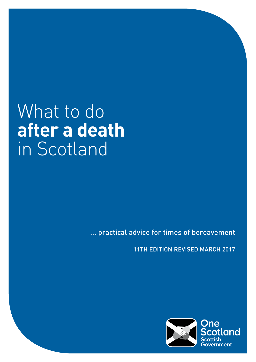# What to do **after a death** in Scotland

... practical advice for times of bereavement

11TH EDITION REVISED MARCH 2017

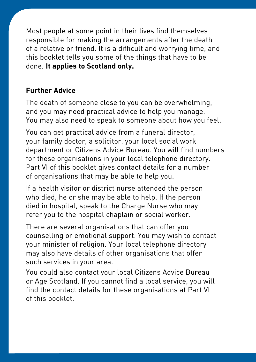Most people at some point in their lives find themselves responsible for making the arrangements after the death of a relative or friend. It is a difficult and worrying time, and this booklet tells you some of the things that have to be done. **It applies to Scotland only.**

#### **Further Advice**

The death of someone close to you can be overwhelming, and you may need practical advice to help you manage. You may also need to speak to someone about how you feel.

You can get practical advice from a funeral director, your family doctor, a solicitor, your local social work department or Citizens Advice Bureau. You will find numbers for these organisations in your local telephone directory. Part VI of this booklet gives contact details for a number of organisations that may be able to help you.

If a health visitor or district nurse attended the person who died, he or she may be able to help. If the person died in hospital, speak to the Charge Nurse who may refer you to the hospital chaplain or social worker.

There are several organisations that can offer you counselling or emotional support. You may wish to contact your minister of religion. Your local telephone directory may also have details of other organisations that offer such services in your area.

You could also contact your local Citizens Advice Bureau or Age Scotland. If you cannot find a local service, you will find the contact details for these organisations at Part VI of this booklet.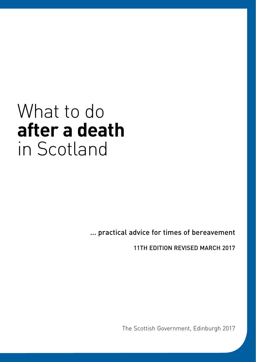# What to do **after a death** in Scotland

... practical advice for times of bereavement

11TH EDITION REVISED MARCH 2017

The Scottish Government, Edinburgh 2017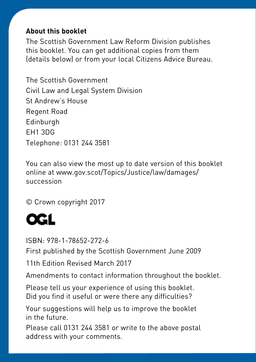#### **About this booklet**

The Scottish Government Law Reform Division publishes this booklet. You can get additional copies from them (details below) or from your local Citizens Advice Bureau.

The Scottish Government Civil Law and Legal System Division St Andrew's House Regent Road Edinburgh EH1 3DG Telephone: 0131 244 3581

You can also view the most up to date version of this booklet online at www.gov.scot/Topics/Justice/law/damages/ succession

© Crown copyright 2017



ISBN: 978-1-78652-272-6

First published by the Scottish Government June 2009

11th Edition Revised March 2017

Amendments to contact information throughout the booklet.

Please tell us your experience of using this booklet. Did you find it useful or were there any difficulties?

Your suggestions will help us to improve the booklet in the future.

Please call 0131 244 3581 or write to the above postal address with your comments.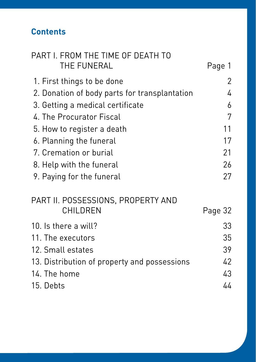## **Contents**

| PART I. FROM THE TIME OF DEATH TO             |         |
|-----------------------------------------------|---------|
| THE FUNERAL                                   | Page 1  |
| 1. First things to be done                    | 2       |
| 2. Donation of body parts for transplantation | 4       |
| 3. Getting a medical certificate              | 6       |
| 4. The Procurator Fiscal                      | 7       |
| 5. How to register a death                    | 11      |
| 6. Planning the funeral                       | 17      |
| 7. Cremation or burial                        | 21      |
| 8. Help with the funeral                      | 26      |
| 9. Paying for the funeral                     | 27      |
| PART II. POSSESSIONS, PROPERTY AND            |         |
| <b>CHILDREN</b>                               | Page 32 |
| 10. Is there a will?                          | 33      |
| 11. The executors                             | 35      |
| 12. Small estates                             | 39      |
| 13. Distribution of property and possessions  | 42      |
| 14. The home                                  | 43      |
| 15. Debts                                     | 44      |
|                                               |         |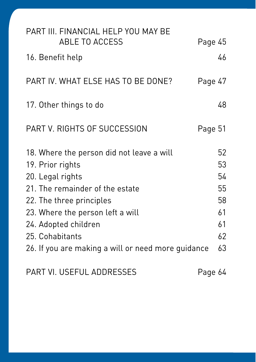| PART III. FINANCIAL HELP YOU MAY BE<br><b>ABLE TO ACCESS</b>                                                                                                                                                                                                                          | Page 45                                            |
|---------------------------------------------------------------------------------------------------------------------------------------------------------------------------------------------------------------------------------------------------------------------------------------|----------------------------------------------------|
| 16. Benefit help                                                                                                                                                                                                                                                                      | 46                                                 |
| PART IV. WHAT ELSE HAS TO BE DONE?                                                                                                                                                                                                                                                    | Page 47                                            |
| 17. Other things to do                                                                                                                                                                                                                                                                | 48                                                 |
| PART V. RIGHTS OF SUCCESSION                                                                                                                                                                                                                                                          | Page 51                                            |
| 18. Where the person did not leave a will<br>19. Prior rights<br>20. Legal rights<br>21. The remainder of the estate<br>22. The three principles<br>23. Where the person left a will<br>24. Adopted children<br>25. Cohabitants<br>26. If you are making a will or need more guidance | 52<br>53<br>54<br>55<br>58<br>61<br>61<br>62<br>63 |
|                                                                                                                                                                                                                                                                                       |                                                    |

PART VI. USEFUL ADDRESSES Page 64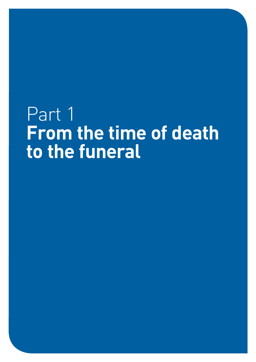# Part<sub>1</sub> **From the time of death to the funeral**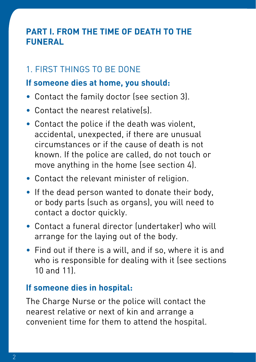## **PART I. FROM THE TIME OF DEATH TO THE FUNERAL**

## 1. FIRST THINGS TO BE DONE

#### **If someone dies at home, you should:**

- Contact the family doctor (see section 3).
- Contact the nearest relative(s).
- Contact the police if the death was violent, accidental, unexpected, if there are unusual circumstances or if the cause of death is not known. If the police are called, do not touch or move anything in the home (see section 4).
- Contact the relevant minister of religion.
- If the dead person wanted to donate their body, or body parts (such as organs), you will need to contact a doctor quickly.
- Contact a funeral director (undertaker) who will arrange for the laying out of the body.
- Find out if there is a will, and if so, where it is and who is responsible for dealing with it (see sections 10 and 11).

#### **If someone dies in hospital:**

The Charge Nurse or the police will contact the nearest relative or next of kin and arrange a convenient time for them to attend the hospital.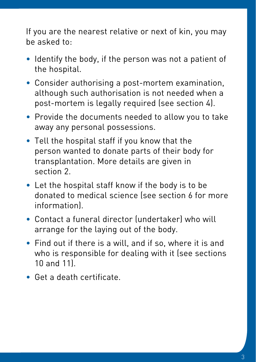If you are the nearest relative or next of kin, you may be asked to:

- Identify the body, if the person was not a patient of the hospital.
- Consider authorising a post-mortem examination, although such authorisation is not needed when a post-mortem is legally required (see section 4).
- Provide the documents needed to allow you to take away any personal possessions.
- Tell the hospital staff if you know that the person wanted to donate parts of their body for transplantation. More details are given in section 2.
- Let the hospital staff know if the body is to be donated to medical science (see section 6 for more information).
- Contact a funeral director (undertaker) who will arrange for the laying out of the body.
- Find out if there is a will, and if so, where it is and who is responsible for dealing with it (see sections 10 and 11).
- Get a death certificate.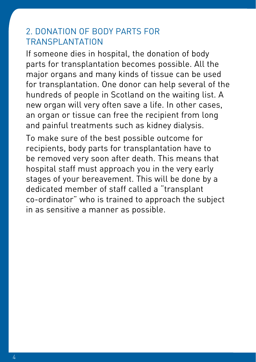#### 2. DONATION OF BODY PARTS FOR TRANSPLANTATION

If someone dies in hospital, the donation of body parts for transplantation becomes possible. All the major organs and many kinds of tissue can be used for transplantation. One donor can help several of the hundreds of people in Scotland on the waiting list. A new organ will very often save a life. In other cases, an organ or tissue can free the recipient from long and painful treatments such as kidney dialysis.

To make sure of the best possible outcome for recipients, body parts for transplantation have to be removed very soon after death. This means that hospital staff must approach you in the very early stages of your bereavement. This will be done by a dedicated member of staff called a "transplant co-ordinator" who is trained to approach the subject in as sensitive a manner as possible.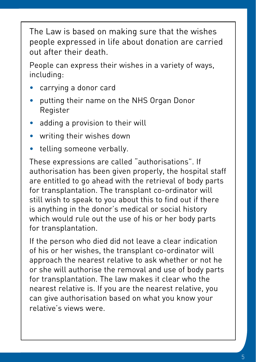The Law is based on making sure that the wishes people expressed in life about donation are carried out after their death.

People can express their wishes in a variety of ways, including:

- carrying a donor card
- putting their name on the NHS Organ Donor Register
- adding a provision to their will
- writing their wishes down
- telling someone verbally.

These expressions are called "authorisations". If authorisation has been given properly, the hospital staff are entitled to go ahead with the retrieval of body parts for transplantation. The transplant co-ordinator will still wish to speak to you about this to find out if there is anything in the donor's medical or social history which would rule out the use of his or her body parts for transplantation.

If the person who died did not leave a clear indication of his or her wishes, the transplant co-ordinator will approach the nearest relative to ask whether or not he or she will authorise the removal and use of body parts for transplantation. The law makes it clear who the nearest relative is. If you are the nearest relative, you can give authorisation based on what you know your relative's views were.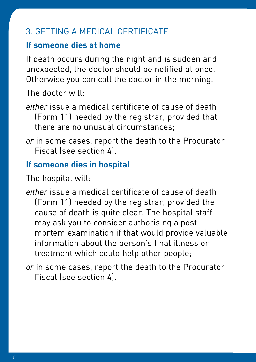## 3. GETTING A MEDICAL CERTIFICATE

## **If someone dies at home**

If death occurs during the night and is sudden and unexpected, the doctor should be notified at once. Otherwise you can call the doctor in the morning.

The doctor will:

- *either* issue a medical certificate of cause of death (Form 11) needed by the registrar, provided that there are no unusual circumstances;
- *or* in some cases, report the death to the Procurator Fiscal (see [section 4](http://www.gov.scot/Publications/2012/02/6043/4)).

## **If someone dies in hospital**

The hospital will:

- *either* issue a medical certificate of cause of death (Form 11) needed by the registrar, provided the cause of death is quite clear. The hospital staff may ask you to consider authorising a postmortem examination if that would provide valuable information about the person's final illness or treatment which could help other people;
- *or* in some cases, report the death to the Procurator Fiscal (see [section 4](http://www.gov.scot/Publications/2012/02/6043/4)).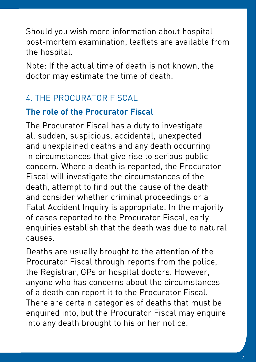Should you wish more information about hospital post-mortem examination, leaflets are available from the hospital.

Note: If the actual time of death is not known, the doctor may estimate the time of death.

# 4. THE PROCURATOR FISCAL

## **The role of the Procurator Fiscal**

The Procurator Fiscal has a duty to investigate all sudden, suspicious, accidental, unexpected and unexplained deaths and any death occurring in circumstances that give rise to serious public concern. Where a death is reported, the Procurator Fiscal will investigate the circumstances of the death, attempt to find out the cause of the death and consider whether criminal proceedings or a Fatal Accident Inquiry is appropriate. In the majority of cases reported to the Procurator Fiscal, early enquiries establish that the death was due to natural causes.

Deaths are usually brought to the attention of the Procurator Fiscal through reports from the police, the Registrar, GPs or hospital doctors. However, anyone who has concerns about the circumstances of a death can report it to the Procurator Fiscal. There are certain categories of deaths that must be enquired into, but the Procurator Fiscal may enquire into any death brought to his or her notice.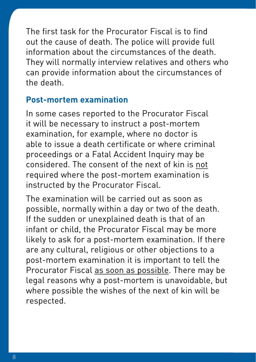The first task for the Procurator Fiscal is to find out the cause of death. The police will provide full information about the circumstances of the death. They will normally interview relatives and others who can provide information about the circumstances of the death.

#### **Post-mortem examination**

In some cases reported to the Procurator Fiscal it will be necessary to instruct a post-mortem examination, for example, where no doctor is able to issue a death certificate or where criminal proceedings or a Fatal Accident Inquiry may be considered. The consent of the next of kin is not required where the post-mortem examination is instructed by the Procurator Fiscal.

The examination will be carried out as soon as possible, normally within a day or two of the death. If the sudden or unexplained death is that of an infant or child, the Procurator Fiscal may be more likely to ask for a post-mortem examination. If there are any cultural, religious or other objections to a post-mortem examination it is important to tell the Procurator Fiscal as soon as possible. There may be legal reasons why a post-mortem is unavoidable, but where possible the wishes of the next of kin will be respected.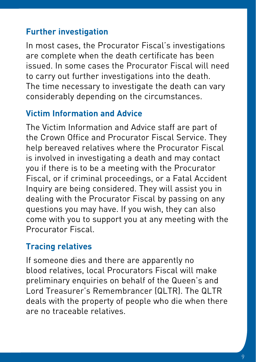## **Further investigation**

In most cases, the Procurator Fiscal's investigations are complete when the death certificate has been issued. In some cases the Procurator Fiscal will need to carry out further investigations into the death. The time necessary to investigate the death can vary considerably depending on the circumstances.

## **Victim Information and Advice**

The Victim Information and Advice staff are part of the Crown Office and Procurator Fiscal Service. They help bereaved relatives where the Procurator Fiscal is involved in investigating a death and may contact you if there is to be a meeting with the Procurator Fiscal, or if criminal proceedings, or a Fatal Accident Inquiry are being considered. They will assist you in dealing with the Procurator Fiscal by passing on any questions you may have. If you wish, they can also come with you to support you at any meeting with the Procurator Fiscal.

## **Tracing relatives**

If someone dies and there are apparently no blood relatives, local Procurators Fiscal will make preliminary enquiries on behalf of the Queen's and Lord Treasurer's Remembrancer (QLTR). The QLTR deals with the property of people who die when there are no traceable relatives.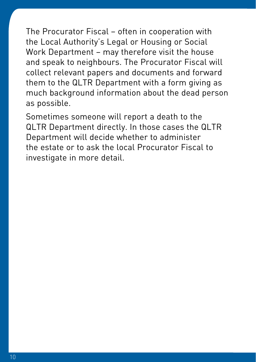The Procurator Fiscal – often in cooperation with the Local Authority's Legal or Housing or Social Work Department – may therefore visit the house and speak to neighbours. The Procurator Fiscal will collect relevant papers and documents and forward them to the QLTR Department with a form giving as much background information about the dead person as possible.

Sometimes someone will report a death to the QLTR Department directly. In those cases the QLTR Department will decide whether to administer the estate or to ask the local Procurator Fiscal to investigate in more detail.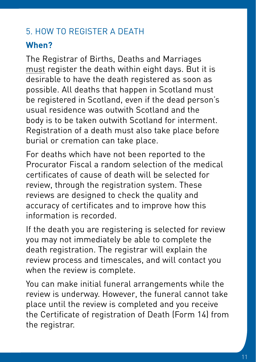# 5. HOW TO REGISTER A DEATH

# **When?**

The Registrar of Births, Deaths and Marriages must register the death within eight days. But it is desirable to have the death registered as soon as possible. All deaths that happen in Scotland must be registered in Scotland, even if the dead person's usual residence was outwith Scotland and the body is to be taken outwith Scotland for interment. Registration of a death must also take place before burial or cremation can take place.

For deaths which have not been reported to the Procurator Fiscal a random selection of the medical certificates of cause of death will be selected for review, through the registration system. These reviews are designed to check the quality and accuracy of certificates and to improve how this information is recorded.

If the death you are registering is selected for review you may not immediately be able to complete the death registration. The registrar will explain the review process and timescales, and will contact you when the review is complete.

You can make initial funeral arrangements while the review is underway. However, the funeral cannot take place until the review is completed and you receive the Certificate of registration of Death (Form 14) from the registrar.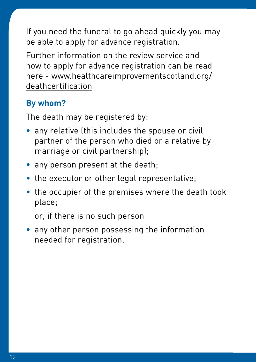If you need the funeral to go ahead quickly you may be able to apply for advance registration.

Further information on the review service and how to apply for advance registration can be read here - [www.healthcareimprovementscotland.org/](http://www.healthcareimprovementscotland.org/deathcertification) [deathcertification](http://www.healthcareimprovementscotland.org/deathcertification)

# **By whom?**

The death may be registered by:

- any relative (this includes the spouse or civil partner of the person who died or a relative by marriage or civil partnership);
- any person present at the death;
- the executor or other legal representative;
- the occupier of the premises where the death took place;

or, if there is no such person

• any other person possessing the information needed for registration.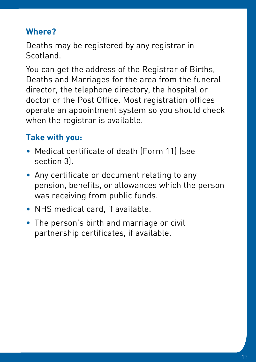## **Where?**

Deaths may be registered by any registrar in **Scotland** 

You can get the address of the Registrar of Births, Deaths and Marriages for the area from the funeral director, the telephone directory, the hospital or doctor or the Post Office. Most registration offices operate an appointment system so you should check when the registrar is available.

# **Take with you:**

- Medical certificate of death (Form 11) (see section 3).
- Any certificate or document relating to any pension, benefits, or allowances which the person was receiving from public funds.
- NHS medical card, if available.
- The person's birth and marriage or civil partnership certificates, if available.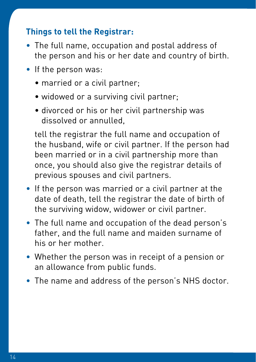### **Things to tell the Registrar:**

- The full name, occupation and postal address of the person and his or her date and country of birth.
- If the person was:
	- married or a civil partner;
	- widowed or a surviving civil partner:
	- divorced or his or her civil partnership was dissolved or annulled,

 tell the registrar the full name and occupation of the husband, wife or civil partner. If the person had been married or in a civil partnership more than once, you should also give the registrar details of previous spouses and civil partners.

- If the person was married or a civil partner at the date of death, tell the registrar the date of birth of the surviving widow, widower or civil partner.
- The full name and occupation of the dead person's father, and the full name and maiden surname of his or her mother.
- Whether the person was in receipt of a pension or an allowance from public funds.
- The name and address of the person's NHS doctor.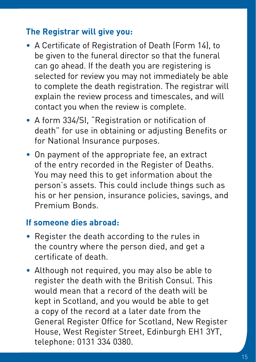### **The Registrar will give you:**

- A Certificate of Registration of Death (Form 14), to be given to the funeral director so that the funeral can go ahead. If the death you are registering is selected for review you may not immediately be able to complete the death registration. The registrar will explain the review process and timescales, and will contact you when the review is complete.
- A form 334/SI, "Registration or notification of death" for use in obtaining or adjusting Benefits or for National Insurance purposes.
- On payment of the appropriate fee, an extract of the entry recorded in the Register of Deaths. You may need this to get information about the person's assets. This could include things such as his or her pension, insurance policies, savings, and Premium Bonds.

#### **If someone dies abroad:**

- Register the death according to the rules in the country where the person died, and get a certificate of death.
- Although not required, you may also be able to register the death with the British Consul. This would mean that a record of the death will be kept in Scotland, and you would be able to get a copy of the record at a later date from the General Register Office for Scotland, New Register House, West Register Street, Edinburgh EH1 3YT, telephone: 0131 334 0380.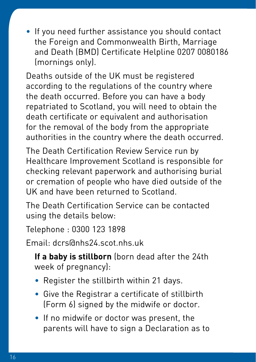• If you need further assistance you should contact the Foreign and Commonwealth Birth, Marriage and Death (BMD) Certificate Helpline 0207 0080186 (mornings only).

Deaths outside of the UK must be registered according to the regulations of the country where the death occurred. Before you can have a body repatriated to Scotland, you will need to obtain the death certificate or equivalent and authorisation for the removal of the body from the appropriate authorities in the country where the death occurred.

The Death Certification Review Service run by Healthcare Improvement Scotland is responsible for checking relevant paperwork and authorising burial or cremation of people who have died outside of the UK and have been returned to Scotland.

The Death Certification Service can be contacted using the details below:

Telephone : 0300 123 1898

Email: dcrs@nhs24.scot.nhs.uk

**If a baby is stillborn** (born dead after the 24th week of pregnancy):

- Register the stillbirth within 21 days.
- Give the Registrar a certificate of stillbirth (Form 6) signed by the midwife or doctor.
- If no midwife or doctor was present, the parents will have to sign a Declaration as to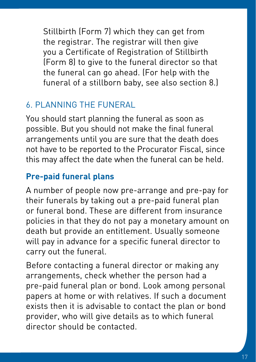Stillbirth (Form 7) which they can get from the registrar. The registrar will then give you a Certificate of Registration of Stillbirth (Form 8) to give to the funeral director so that the funeral can go ahead. (For help with the funeral of a stillborn baby, see also section 8.)

# 6. PLANNING THE FUNERAL

You should start planning the funeral as soon as possible. But you should not make the final funeral arrangements until you are sure that the death does not have to be reported to the Procurator Fiscal, since this may affect the date when the funeral can be held.

## **Pre-paid funeral plans**

A number of people now pre-arrange and pre-pay for their funerals by taking out a pre-paid funeral plan or funeral bond. These are different from insurance policies in that they do not pay a monetary amount on death but provide an entitlement. Usually someone will pay in advance for a specific funeral director to carry out the funeral.

Before contacting a funeral director or making any arrangements, check whether the person had a pre-paid funeral plan or bond. Look among personal papers at home or with relatives. If such a document exists then it is advisable to contact the plan or bond provider, who will give details as to which funeral director should be contacted.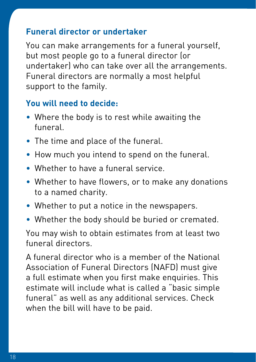#### **Funeral director or undertaker**

You can make arrangements for a funeral yourself, but most people go to a funeral director (or undertaker) who can take over all the arrangements. Funeral directors are normally a most helpful support to the family.

## **You will need to decide:**

- Where the body is to rest while awaiting the funeral.
- The time and place of the funeral.
- How much you intend to spend on the funeral.
- Whether to have a funeral service.
- Whether to have flowers, or to make any donations to a named charity.
- Whether to put a notice in the newspapers.
- Whether the body should be buried or cremated.

You may wish to obtain estimates from at least two funeral directors.

A funeral director who is a member of the National Association of Funeral Directors (NAFD) must give a full estimate when you first make enquiries. This estimate will include what is called a "basic simple funeral" as well as any additional services. Check when the bill will have to be paid.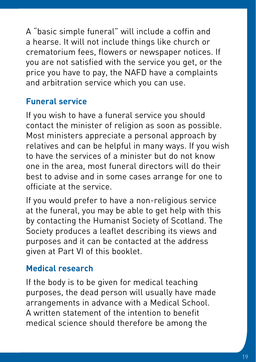A "basic simple funeral" will include a coffin and a hearse. It will not include things like church or crematorium fees, flowers or newspaper notices. If you are not satisfied with the service you get, or the price you have to pay, the NAFD have a complaints and arbitration service which you can use.

## **Funeral service**

If you wish to have a funeral service you should contact the minister of religion as soon as possible. Most ministers appreciate a personal approach by relatives and can be helpful in many ways. If you wish to have the services of a minister but do not know one in the area, most funeral directors will do their best to advise and in some cases arrange for one to officiate at the service.

If you would prefer to have a non-religious service at the funeral, you may be able to get help with this by contacting the Humanist Society of Scotland. The Society produces a leaflet describing its views and purposes and it can be contacted at the address given at Part VI of this booklet.

## **Medical research**

If the body is to be given for medical teaching purposes, the dead person will usually have made arrangements in advance with a Medical School. A written statement of the intention to benefit medical science should therefore be among the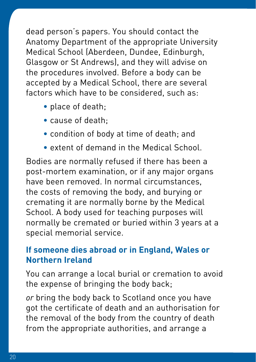dead person's papers. You should contact the Anatomy Department of the appropriate University Medical School (Aberdeen, Dundee, Edinburgh, Glasgow or St Andrews), and they will advise on the procedures involved. Before a body can be accepted by a Medical School, there are several factors which have to be considered, such as:

- place of death;
- cause of death;
- condition of body at time of death; and
- extent of demand in the Medical School.

Bodies are normally refused if there has been a post-mortem examination, or if any major organs have been removed. In normal circumstances, the costs of removing the body, and burying or cremating it are normally borne by the Medical School. A body used for teaching purposes will normally be cremated or buried within 3 years at a special memorial service.

## **If someone dies abroad or in England, Wales or Northern Ireland**

You can arrange a local burial or cremation to avoid the expense of bringing the body back;

*or* bring the body back to Scotland once you have got the certificate of death and an authorisation for the removal of the body from the country of death from the appropriate authorities, and arrange a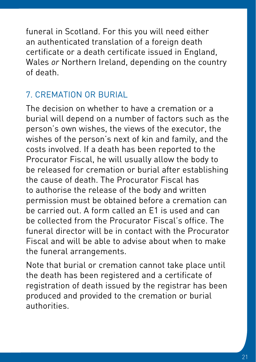funeral in Scotland. For this you will need either an authenticated translation of a foreign death certificate or a death certificate issued in England, Wales *or* Northern Ireland, depending on the country of death.

# 7. CREMATION OR BURIAL

The decision on whether to have a cremation or a burial will depend on a number of factors such as the person's own wishes, the views of the executor, the wishes of the person's next of kin and family, and the costs involved. If a death has been reported to the Procurator Fiscal, he will usually allow the body to be released for cremation or burial after establishing the cause of death. The Procurator Fiscal has to authorise the release of the body and written permission must be obtained before a cremation can be carried out. A form called an E1 is used and can be collected from the Procurator Fiscal's office. The funeral director will be in contact with the Procurator Fiscal and will be able to advise about when to make the funeral arrangements.

Note that burial or cremation cannot take place until the death has been registered and a certificate of registration of death issued by the registrar has been produced and provided to the cremation or burial authorities.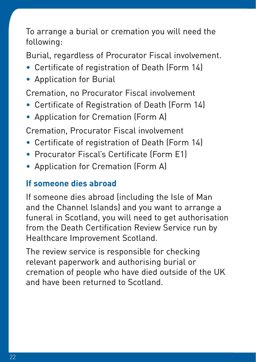To arrange a burial or cremation you will need the following:

Burial, regardless of Procurator Fiscal involvement.

- Certificate of registration of Death (Form 14)
- Application for Burial

Cremation, no Procurator Fiscal involvement

- Certificate of Registration of Death (Form 14)
- Application for Cremation (Form A)

Cremation, Procurator Fiscal involvement

- Certificate of registration of Death (Form 14)
- Procurator Fiscal's Certificate (Form E1)
- Application for Cremation (Form A)

#### **If someone dies abroad**

If someone dies abroad (including the Isle of Man and the Channel Islands) and you want to arrange a funeral in Scotland, you will need to get authorisation from the Death Certification Review Service run by Healthcare Improvement Scotland.

The review service is responsible for checking relevant paperwork and authorising burial or cremation of people who have died outside of the UK and have been returned to Scotland.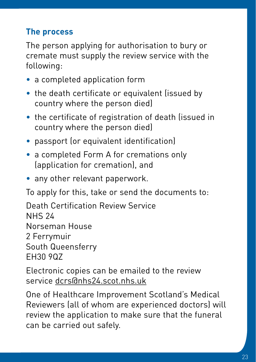# **The process**

The person applying for authorisation to bury or cremate must supply the review service with the following:

- a completed application form
- the death certificate or equivalent (issued by country where the person died)
- the certificate of registration of death (issued in country where the person died)
- passport (or equivalent identification)
- a completed Form A for cremations only (application for cremation), and
- any other relevant paperwork.

To apply for this, take or send the documents to:

Death Certification Review Service NHS 24 Norseman House 2 Ferrymuir South Queensferry EH30 9QZ

Electronic copies can be emailed to the review service dcrs@nhs24.scot.nhs.uk

One of Healthcare Improvement Scotland's Medical Reviewers (all of whom are experienced doctors) will review the application to make sure that the funeral can be carried out safely.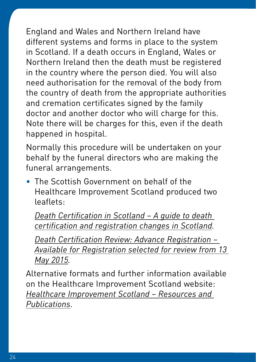England and Wales and Northern Ireland have different systems and forms in place to the system in Scotland. If a death occurs in England, Wales or Northern Ireland then the death must be registered in the country where the person died. You will also need authorisation for the removal of the body from the country of death from the appropriate authorities and cremation certificates signed by the family doctor and another doctor who will charge for this. Note there will be charges for this, even if the death happened in hospital.

Normally this procedure will be undertaken on your behalf by the funeral directors who are making the funeral arrangements.

• The Scottish Government on behalf of the Healthcare Improvement Scotland produced two leaflets:

*[Death Certification in Scotland – A guide to death](http://www.healthcareimprovementscotland.org/our_work/governance_and_assurance/death_certification/review_service_information/idoc.ashx?docid=5e42c48c-77d2-4e48-ab11-3530c9bf1836&version=-1)  [certification and registration changes in Scotland.](http://www.healthcareimprovementscotland.org/our_work/governance_and_assurance/death_certification/review_service_information/idoc.ashx?docid=5e42c48c-77d2-4e48-ab11-3530c9bf1836&version=-1)*

*[Death Certification Review: Advance Registration –](http://www.healthcareimprovementscotland.org/our_work/governance_and_assurance/death_certification/review_service_information/idoc.ashx?docid=5e42c48c-77d2-4e48-ab11-3530c9bf1836&version=-1)  [Available for Registration selected for review from 13](http://www.healthcareimprovementscotland.org/our_work/governance_and_assurance/death_certification/review_service_information/idoc.ashx?docid=5e42c48c-77d2-4e48-ab11-3530c9bf1836&version=-1)  [May 2015.](http://www.healthcareimprovementscotland.org/our_work/governance_and_assurance/death_certification/review_service_information/idoc.ashx?docid=5e42c48c-77d2-4e48-ab11-3530c9bf1836&version=-1)*

Alternative formats and further information available on the Healthcare Improvement Scotland website: *[Healthcare Improvement Scotland – Resources and](http://www.healthcareimprovementscotland.org/our_work/governance_and_assurance/death_certification/resources.aspx)  [Publications](http://www.healthcareimprovementscotland.org/our_work/governance_and_assurance/death_certification/resources.aspx)*.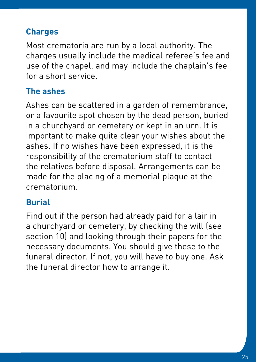# **Charges**

Most crematoria are run by a local authority. The charges usually include the medical referee's fee and use of the chapel, and may include the chaplain's fee for a short service.

## **The ashes**

Ashes can be scattered in a garden of remembrance, or a favourite spot chosen by the dead person, buried in a churchyard or cemetery or kept in an urn. It is important to make quite clear your wishes about the ashes. If no wishes have been expressed, it is the responsibility of the crematorium staff to contact the relatives before disposal. Arrangements can be made for the placing of a memorial plaque at the crematorium.

## **Burial**

Find out if the person had already paid for a lair in a churchyard or cemetery, by checking the will (see section 10) and looking through their papers for the necessary documents. You should give these to the funeral director. If not, you will have to buy one. Ask the funeral director how to arrange it.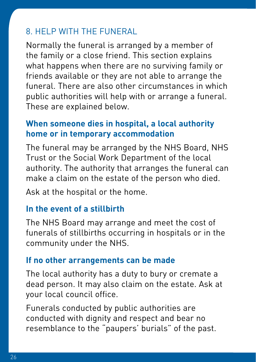# 8. HELP WITH THE FUNERAL

Normally the funeral is arranged by a member of the family or a close friend. This section explains what happens when there are no surviving family or friends available or they are not able to arrange the funeral. There are also other circumstances in which public authorities will help with or arrange a funeral. These are explained below.

## **When someone dies in hospital, a local authority home or in temporary accommodation**

The funeral may be arranged by the NHS Board, NHS Trust or the Social Work Department of the local authority. The authority that arranges the funeral can make a claim on the estate of the person who died.

Ask at the hospital or the home.

### **In the event of a stillbirth**

The NHS Board may arrange and meet the cost of funerals of stillbirths occurring in hospitals or in the community under the NHS.

#### **If no other arrangements can be made**

The local authority has a duty to bury or cremate a dead person. It may also claim on the estate. Ask at your local council office.

Funerals conducted by public authorities are conducted with dignity and respect and bear no resemblance to the "paupers' burials" of the past.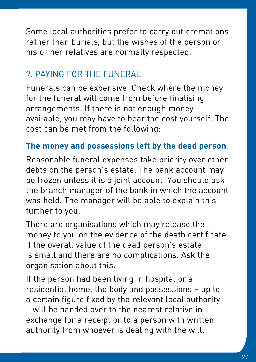Some local authorities prefer to carry out cremations rather than burials, but the wishes of the person or his or her relatives are normally respected.

# 9. PAYING FOR THE FUNERAL

Funerals can be expensive. Check where the money for the funeral will come from before finalising arrangements. If there is not enough money available, you may have to bear the cost yourself. The cost can be met from the following:

## **The money and possessions left by the dead person**

Reasonable funeral expenses take priority over other debts on the person's estate. The bank account may be frozen unless it is a joint account. You should ask the branch manager of the bank in which the account was held. The manager will be able to explain this further to you.

There are organisations which may release the money to you on the evidence of the death certificate if the overall value of the dead person's estate is small and there are no complications. Ask the organisation about this.

If the person had been living in hospital or a residential home, the body and possessions – up to a certain figure fixed by the relevant local authority – will be handed over to the nearest relative in exchange for a receipt or to a person with written authority from whoever is dealing with the will.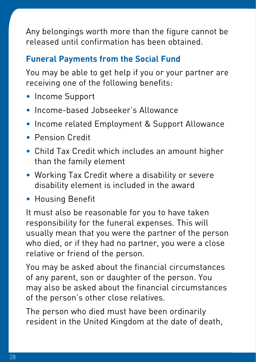Any belongings worth more than the figure cannot be released until confirmation has been obtained.

## **Funeral Payments from the Social Fund**

You may be able to get help if you or your partner are receiving one of the following benefits:

- Income Support
- Income-based Jobseeker's Allowance
- Income related Employment & Support Allowance
- Pension Credit
- Child Tax Credit which includes an amount higher than the family element
- Working Tax Credit where a disability or severe disability element is included in the award
- Housing Benefit

It must also be reasonable for you to have taken responsibility for the funeral expenses. This will usually mean that you were the partner of the person who died, or if they had no partner, you were a close relative or friend of the person.

You may be asked about the financial circumstances of any parent, son or daughter of the person. You may also be asked about the financial circumstances of the person's other close relatives.

The person who died must have been ordinarily resident in the United Kingdom at the date of death,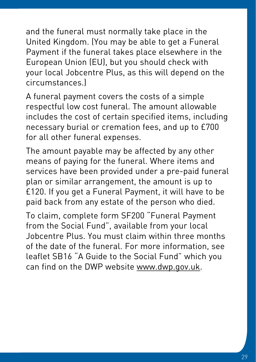and the funeral must normally take place in the United Kingdom. (You may be able to get a Funeral Payment if the funeral takes place elsewhere in the European Union (EU), but you should check with your local Jobcentre Plus, as this will depend on the circumstances.)

A funeral payment covers the costs of a simple respectful low cost funeral. The amount allowable includes the cost of certain specified items, including necessary burial or cremation fees, and up to £700 for all other funeral expenses.

The amount payable may be affected by any other means of paying for the funeral. Where items and services have been provided under a pre-paid funeral plan or similar arrangement, the amount is up to £120. If you get a Funeral Payment, it will have to be paid back from any estate of the person who died.

To claim, complete form SF200 "Funeral Payment from the Social Fund", available from your local Jobcentre Plus. You must claim within three months of the date of the funeral. For more information, see leaflet SB16 "A Guide to the Social Fund" which you can find on the DWP website www.dwp.gov.uk.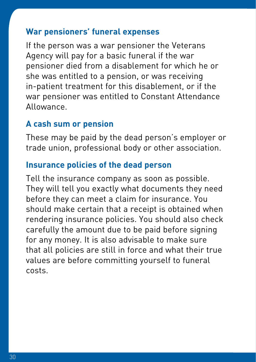#### **War pensioners' funeral expenses**

If the person was a war pensioner the Veterans Agency will pay for a basic funeral if the war pensioner died from a disablement for which he or she was entitled to a pension, or was receiving in-patient treatment for this disablement, or if the war pensioner was entitled to Constant Attendance Allowance.

#### **A cash sum or pension**

These may be paid by the dead person's employer or trade union, professional body or other association.

#### **Insurance policies of the dead person**

Tell the insurance company as soon as possible. They will tell you exactly what documents they need before they can meet a claim for insurance. You should make certain that a receipt is obtained when rendering insurance policies. You should also check carefully the amount due to be paid before signing for any money. It is also advisable to make sure that all policies are still in force and what their true values are before committing yourself to funeral costs.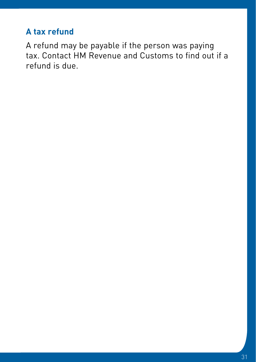## **A tax refund**

A refund may be payable if the person was paying tax. Contact HM Revenue and Customs to find out if a refund is due.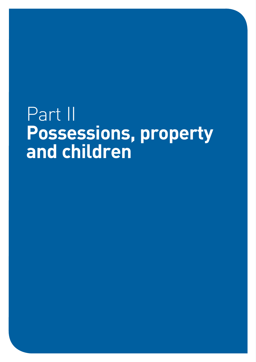# Part II **Possessions, property and children**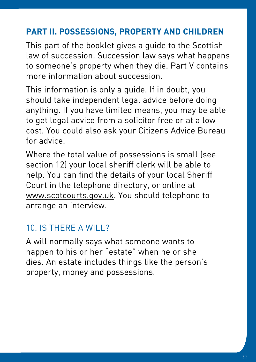## **PART II. POSSESSIONS, PROPERTY AND CHILDREN**

This part of the booklet gives a guide to the Scottish law of succession. Succession law says what happens to someone's property when they die. Part V contains more information about succession.

This information is only a guide. If in doubt, you should take independent legal advice before doing anything. If you have limited means, you may be able to get legal advice from a solicitor free or at a low cost. You could also ask your Citizens Advice Bureau for advice.

Where the total value of possessions is small (see section 12) your local sheriff clerk will be able to help. You can find the details of your local Sheriff Court in the telephone directory, or online at www.scotcourts.gov.uk. You should telephone to arrange an interview.

## 10. IS THERE A WILL?

A will normally says what someone wants to happen to his or her "estate" when he or she dies. An estate includes things like the person's property, money and possessions.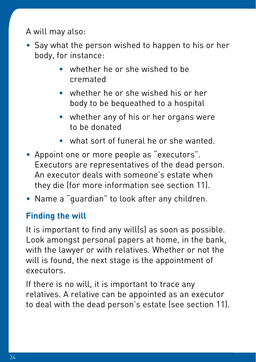A will may also:

- Say what the person wished to happen to his or her body, for instance:
	- whether he or she wished to be cremated
	- whether he or she wished his or her body to be bequeathed to a hospital
	- whether any of his or her organs were to be donated
	- what sort of funeral he or she wanted.
- Appoint one or more people as "executors". Executors are representatives of the dead person. An executor deals with someone's estate when they die (for more information see section 11).
- Name a "guardian" to look after any children.

### **Finding the will**

It is important to find any will(s) as soon as possible. Look amongst personal papers at home, in the bank, with the lawyer or with relatives. Whether or not the will is found, the next stage is the appointment of executors.

If there is no will, it is important to trace any relatives. A relative can be appointed as an executor to deal with the dead person's estate (see section 11).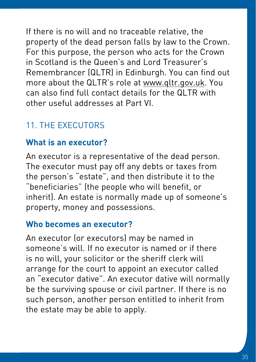If there is no will and no traceable relative, the property of the dead person falls by law to the Crown. For this purpose, the person who acts for the Crown in Scotland is the Queen's and Lord Treasurer's Remembrancer (QLTR) in Edinburgh. You can find out more about the QLTR's role at www.qltr.gov.uk. You can also find full contact details for the QLTR with other useful addresses at Part VI.

# 11. THE EXECUTORS

## **What is an executor?**

An executor is a representative of the dead person. The executor must pay off any debts or taxes from the person's "estate", and then distribute it to the "beneficiaries" (the people who will benefit, or inherit). An estate is normally made up of someone's property, money and possessions.

### **Who becomes an executor?**

An executor (or executors) may be named in someone's will. If no executor is named or if there is no will, your solicitor or the sheriff clerk will arrange for the court to appoint an executor called an "executor dative". An executor dative will normally be the surviving spouse or civil partner. If there is no such person, another person entitled to inherit from the estate may be able to apply.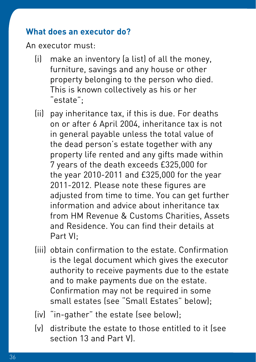#### **What does an executor do?**

An executor must:

- (i) make an inventory (a list) of all the money, furniture, savings and any house or other property belonging to the person who died. This is known collectively as his or her "estate";
- (ii) pay inheritance tax, if this is due. For deaths on or after 6 April 2004, inheritance tax is not in general payable unless the total value of the dead person's estate together with any property life rented and any gifts made within 7 years of the death exceeds £325,000 for the year 2010-2011 and £325,000 for the year 2011-2012. Please note these figures are adjusted from time to time. You can get further information and advice about inheritance tax from HM Revenue & Customs Charities, Assets and Residence. You can find their details at Part VI;
- (iii) obtain confirmation to the estate. Confirmation is the legal document which gives the executor authority to receive payments due to the estate and to make payments due on the estate. Confirmation may not be required in some small estates (see "Small Estates" below);
- (iv) "in-gather" the estate (see below);
- (v) distribute the estate to those entitled to it (see section 13 and Part V).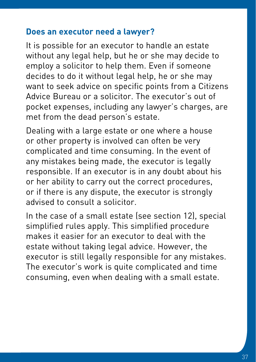### **Does an executor need a lawyer?**

It is possible for an executor to handle an estate without any legal help, but he or she may decide to employ a solicitor to help them. Even if someone decides to do it without legal help, he or she may want to seek advice on specific points from a Citizens Advice Bureau or a solicitor. The executor's out of pocket expenses, including any lawyer's charges, are met from the dead person's estate.

Dealing with a large estate or one where a house or other property is involved can often be very complicated and time consuming. In the event of any mistakes being made, the executor is legally responsible. If an executor is in any doubt about his or her ability to carry out the correct procedures, or if there is any dispute, the executor is strongly advised to consult a solicitor.

In the case of a small estate (see section 12), special simplified rules apply. This simplified procedure makes it easier for an executor to deal with the estate without taking legal advice. However, the executor is still legally responsible for any mistakes. The executor's work is quite complicated and time consuming, even when dealing with a small estate.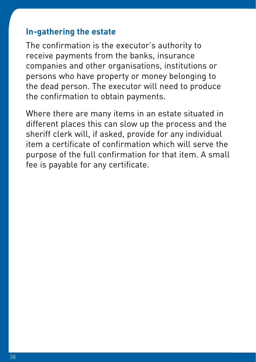#### **In-gathering the estate**

The confirmation is the executor's authority to receive payments from the banks, insurance companies and other organisations, institutions or persons who have property or money belonging to the dead person. The executor will need to produce the confirmation to obtain payments.

Where there are many items in an estate situated in different places this can slow up the process and the sheriff clerk will, if asked, provide for any individual item a certificate of confirmation which will serve the purpose of the full confirmation for that item. A small fee is payable for any certificate.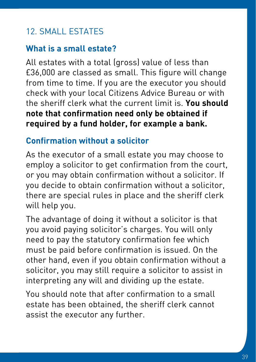# 12. SMALL ESTATES

### **What is a small estate?**

All estates with a total (gross) value of less than £36,000 are classed as small. This figure will change from time to time. If you are the executor you should check with your local Citizens Advice Bureau or with the sheriff clerk what the current limit is. **You should note that confirmation need only be obtained if required by a fund holder, for example a bank.**

### **Confirmation without a solicitor**

As the executor of a small estate you may choose to employ a solicitor to get confirmation from the court, or you may obtain confirmation without a solicitor. If you decide to obtain confirmation without a solicitor, there are special rules in place and the sheriff clerk will help you.

The advantage of doing it without a solicitor is that you avoid paying solicitor's charges. You will only need to pay the statutory confirmation fee which must be paid before confirmation is issued. On the other hand, even if you obtain confirmation without a solicitor, you may still require a solicitor to assist in interpreting any will and dividing up the estate.

You should note that after confirmation to a small estate has been obtained, the sheriff clerk cannot assist the executor any further.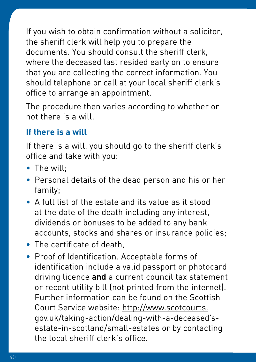If you wish to obtain confirmation without a solicitor, the sheriff clerk will help you to prepare the documents. You should consult the sheriff clerk, where the deceased last resided early on to ensure that you are collecting the correct information. You should telephone or call at your local sheriff clerk's office to arrange an appointment.

The procedure then varies according to whether or not there is a will.

### **If there is a will**

If there is a will, you should go to the sheriff clerk's office and take with you:

- The will:
- Personal details of the dead person and his or her family;
- A full list of the estate and its value as it stood at the date of the death including any interest, dividends or bonuses to be added to any bank accounts, stocks and shares or insurance policies;
- The certificate of death,
- Proof of Identification. Acceptable forms of identification include a valid passport or photocard driving licence **and** a current council tax statement or recent utility bill (not printed from the internet). Further information can be found on the Scottish Court Service website: [http://www.scotcourts.](http://www.scotcourts.gov.uk/taking-action/dealing-with-a-deceased) [gov.uk/taking-action/dealing-with-a-deceased's](http://www.scotcourts.gov.uk/taking-action/dealing-with-a-deceased)[estate-in-scotland/small-estates](http://www.scotcourts.gov.uk/taking-action/dealing-with-a-deceased) or by contacting the local sheriff clerk's office.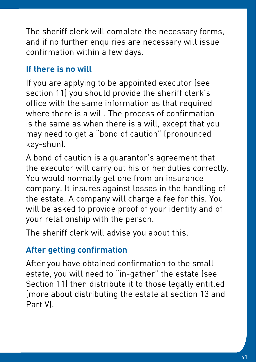The sheriff clerk will complete the necessary forms, and if no further enquiries are necessary will issue confirmation within a few days.

## **If there is no will**

If you are applying to be appointed executor (see section 11) you should provide the sheriff clerk's office with the same information as that required where there is a will. The process of confirmation is the same as when there is a will, except that you may need to get a "bond of caution" (pronounced kay-shun).

A bond of caution is a guarantor's agreement that the executor will carry out his or her duties correctly. You would normally get one from an insurance company. It insures against losses in the handling of the estate. A company will charge a fee for this. You will be asked to provide proof of your identity and of your relationship with the person.

The sheriff clerk will advise you about this.

## **After getting confirmation**

After you have obtained confirmation to the small estate, you will need to "in-gather" the estate (see Section 11) then distribute it to those legally entitled (more about distributing the estate at section 13 and Part V).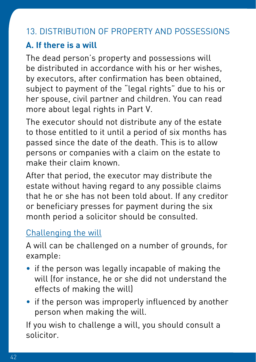# 13. DISTRIBUTION OF PROPERTY AND POSSESSIONS

## **A. If there is a will**

The dead person's property and possessions will be distributed in accordance with his or her wishes, by executors, after confirmation has been obtained, subject to payment of the "legal rights" due to his or her spouse, civil partner and children. You can read more about legal rights in Part V.

The executor should not distribute any of the estate to those entitled to it until a period of six months has passed since the date of the death. This is to allow persons or companies with a claim on the estate to make their claim known.

After that period, the executor may distribute the estate without having regard to any possible claims that he or she has not been told about. If any creditor or beneficiary presses for payment during the six month period a solicitor should be consulted.

## Challenging the will

A will can be challenged on a number of grounds, for example:

- if the person was legally incapable of making the will (for instance, he or she did not understand the effects of making the will)
- if the person was improperly influenced by another person when making the will.

If you wish to challenge a will, you should consult a solicitor.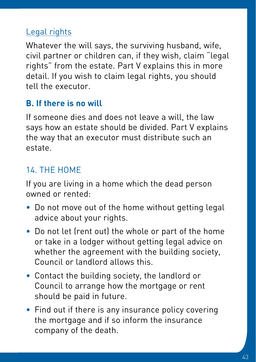## Legal rights

Whatever the will says, the surviving husband, wife, civil partner or children can, if they wish, claim "legal rights" from the estate. Part V explains this in more detail. If you wish to claim legal rights, you should tell the executor.

### **B. If there is no will**

If someone dies and does not leave a will, the law says how an estate should be divided. Part V explains the way that an executor must distribute such an estate.

# 14. THE HOME

If you are living in a home which the dead person owned or rented:

- Do not move out of the home without getting legal advice about your rights.
- Do not let (rent out) the whole or part of the home or take in a lodger without getting legal advice on whether the agreement with the building society, Council or landlord allows this.
- Contact the building society, the landlord or Council to arrange how the mortgage or rent should be paid in future.
- Find out if there is any insurance policy covering the mortgage and if so inform the insurance company of the death.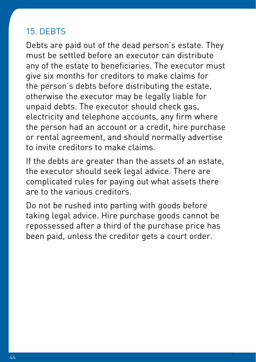## 15. DEBTS

Debts are paid out of the dead person's estate. They must be settled before an executor can distribute any of the estate to beneficiaries. The executor must give six months for creditors to make claims for the person's debts before distributing the estate, otherwise the executor may be legally liable for unpaid debts. The executor should check gas, electricity and telephone accounts, any firm where the person had an account or a credit, hire purchase or rental agreement, and should normally advertise to invite creditors to make claims.

If the debts are greater than the assets of an estate, the executor should seek legal advice. There are complicated rules for paying out what assets there are to the various creditors.

Do not be rushed into parting with goods before taking legal advice. Hire purchase goods cannot be repossessed after a third of the purchase price has been paid, unless the creditor gets a court order.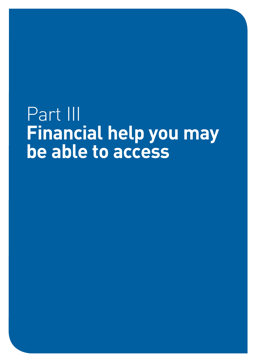# Part III **Financial help you may be able to access**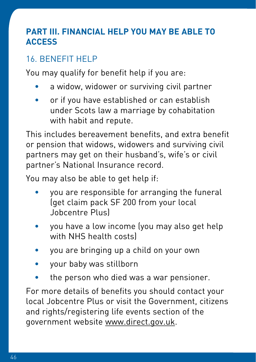### **PART III. FINANCIAL HELP YOU MAY BE ABLE TO ACCESS**

# 16. BENEFIT HELP

You may qualify for benefit help if you are:

- a widow, widower or surviving civil partner
- or if you have established or can establish under Scots law a marriage by cohabitation with habit and repute.

This includes bereavement benefits, and extra benefit or pension that widows, widowers and surviving civil partners may get on their husband's, wife's or civil partner's National Insurance record.

You may also be able to get help if:

- you are responsible for arranging the funeral (get claim pack SF 200 from your local Jobcentre Plus)
- you have a low income (you may also get help with NHS health costs)
- you are bringing up a child on your own
- your baby was stillborn
- the person who died was a war pensioner.

For more details of benefits you should contact your local Jobcentre Plus or visit the Government, citizens and rights/registering life events section of the government website www.direct.gov.uk.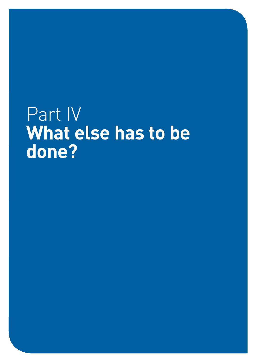# Part IV **What else has to be done?**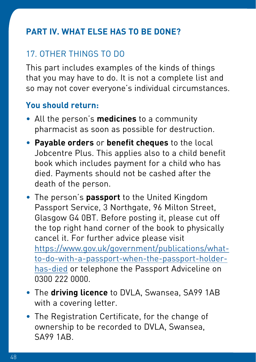## **PART IV. WHAT ELSE HAS TO BE DONE?**

# 17. OTHER THINGS TO DO

This part includes examples of the kinds of things that you may have to do. It is not a complete list and so may not cover everyone's individual circumstances.

### **You should return:**

- All the person's **medicines** to a community pharmacist as soon as possible for destruction.
- **Payable orders** or **benefit cheques** to the local Jobcentre Plus. This applies also to a child benefit book which includes payment for a child who has died. Payments should not be cashed after the death of the person.
- The person's **passport** to the United Kingdom Passport Service, 3 Northgate, 96 Milton Street, Glasgow G4 0BT. Before posting it, please cut off the top right hand corner of the book to physically cancel it. For further advice please visit [https://www.gov.uk/government/publications/what](https://www.gov.uk/government/publications/what-to-do-with-a-passport-when-the-passport-holder-has-died)[to-do-with-a-passport-when-the-passport-holder](https://www.gov.uk/government/publications/what-to-do-with-a-passport-when-the-passport-holder-has-died)[has-died](https://www.gov.uk/government/publications/what-to-do-with-a-passport-when-the-passport-holder-has-died) or telephone the Passport Adviceline on 0300 222 0000.
- The **driving licence** to DVLA, Swansea, SA99 1AB with a covering letter.
- The Registration Certificate, for the change of ownership to be recorded to DVLA, Swansea, SA99 1AB.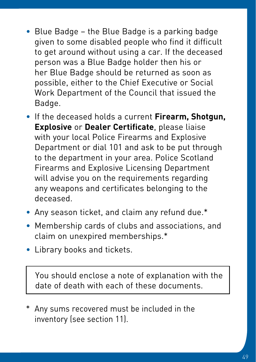- Blue Badge the Blue Badge is a parking badge given to some disabled people who find it difficult to get around without using a car. If the deceased person was a Blue Badge holder then his or her Blue Badge should be returned as soon as possible, either to the Chief Executive or Social Work Department of the Council that issued the Badge.
- If the deceased holds a current **Firearm, Shotgun, Explosive** or **Dealer Certificate**, please liaise with your local Police Firearms and Explosive Department or dial 101 and ask to be put through to the department in your area. Police Scotland Firearms and Explosive Licensing Department will advise you on the requirements regarding any weapons and certificates belonging to the deceased.
- Any season ticket, and claim any refund due.\*
- Membership cards of clubs and associations, and claim on unexpired memberships.\*
- Library books and tickets.

You should enclose a note of explanation with the date of death with each of these documents.

\* Any sums recovered must be included in the inventory (see section 11).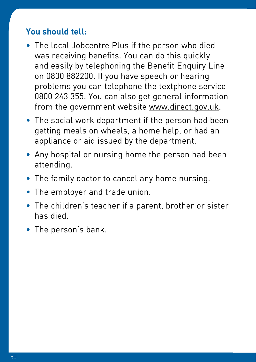#### **You should tell:**

- The local Jobcentre Plus if the person who died was receiving benefits. You can do this quickly and easily by telephoning the Benefit Enquiry Line on 0800 882200. If you have speech or hearing problems you can telephone the textphone service 0800 243 355. You can also get general information from the government website [www.direct.gov.uk.](http://www.direct.gov.uk)
- The social work department if the person had been getting meals on wheels, a home help, or had an appliance or aid issued by the department.
- Any hospital or nursing home the person had been attending.
- The family doctor to cancel any home nursing.
- The employer and trade union.
- The children's teacher if a parent, brother or sister has died.
- The person's bank.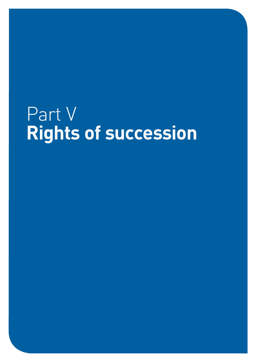# Part V **Rights of succession**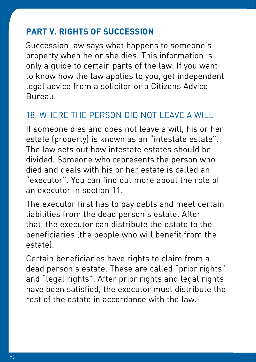## **PART V. RIGHTS OF SUCCESSION**

Succession law says what happens to someone's property when he or she dies. This information is only a guide to certain parts of the law. If you want to know how the law applies to you, get independent legal advice from a solicitor or a Citizens Advice Bureau.

## 18. WHERE THE PERSON DID NOT LEAVE A WILL

If someone dies and does not leave a will, his or her estate (property) is known as an "intestate estate". The law sets out how intestate estates should be divided. Someone who represents the person who died and deals with his or her estate is called an "executor". You can find out more about the role of an executor in section 11.

The executor first has to pay debts and meet certain liabilities from the dead person's estate. After that, the executor can distribute the estate to the beneficiaries (the people who will benefit from the estate).

Certain beneficiaries have rights to claim from a dead person's estate. These are called "prior rights" and "legal rights". After prior rights and legal rights have been satisfied, the executor must distribute the rest of the estate in accordance with the law.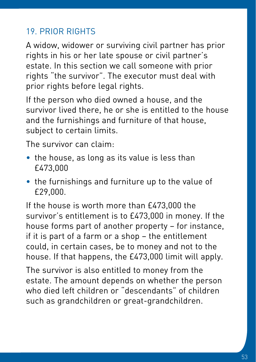# 19. PRIOR RIGHTS

A widow, widower or surviving civil partner has prior rights in his or her late spouse or civil partner's estate. In this section we call someone with prior rights "the survivor". The executor must deal with prior rights before legal rights.

If the person who died owned a house, and the survivor lived there, he or she is entitled to the house and the furnishings and furniture of that house, subject to certain limits.

The survivor can claim:

- the house, as long as its value is less than £473,000
- the furnishings and furniture up to the value of £29,000.

If the house is worth more than £473,000 the survivor's entitlement is to £473,000 in money. If the house forms part of another property – for instance, if it is part of a farm or a shop – the entitlement could, in certain cases, be to money and not to the house. If that happens, the £473,000 limit will apply.

The survivor is also entitled to money from the estate. The amount depends on whether the person who died left children or "descendants" of children such as grandchildren or great-grandchildren.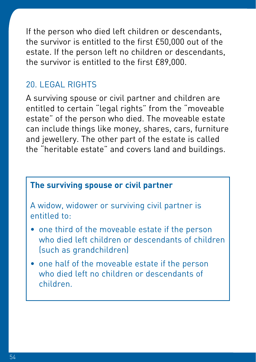If the person who died left children or descendants, the survivor is entitled to the first £50,000 out of the estate. If the person left no children or descendants, the survivor is entitled to the first £89,000.

### 20. LEGAL RIGHTS

A surviving spouse or civil partner and children are entitled to certain "legal rights" from the "moveable estate" of the person who died. The moveable estate can include things like money, shares, cars, furniture and jewellery. The other part of the estate is called the "heritable estate" and covers land and buildings.

### **The surviving spouse or civil partner**

A widow, widower or surviving civil partner is entitled to:

- one third of the moveable estate if the person who died left children or descendants of children (such as grandchildren)
- one half of the moveable estate if the person who died left no children or descendants of children.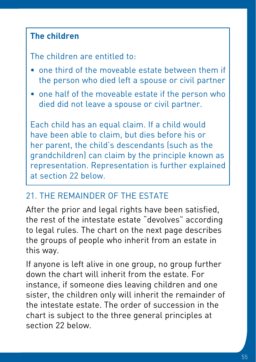### **The children**

The children are entitled to:

- one third of the moveable estate between them if the person who died left a spouse or civil partner
- one half of the moveable estate if the person who died did not leave a spouse or civil partner.

Each child has an equal claim. If a child would have been able to claim, but dies before his or her parent, the child's descendants (such as the grandchildren) can claim by the principle known as representation. Representation is further explained at section 22 below.

### 21. THE REMAINDER OF THE ESTATE

After the prior and legal rights have been satisfied, the rest of the intestate estate "devolves" according to legal rules. The chart on the next page describes the groups of people who inherit from an estate in this way.

If anyone is left alive in one group, no group further down the chart will inherit from the estate. For instance, if someone dies leaving children and one sister, the children only will inherit the remainder of the intestate estate. The order of succession in the chart is subject to the three general principles at section 22 below.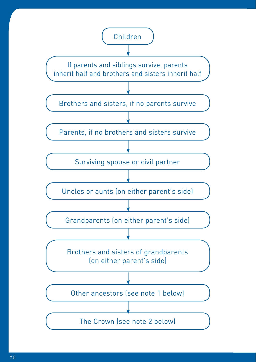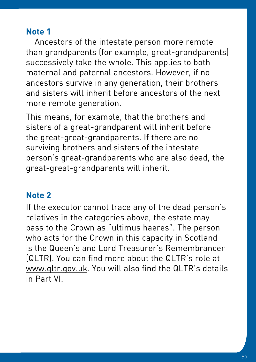### **Note 1**

Ancestors of the intestate person more remote than grandparents (for example, great-grandparents) successively take the whole. This applies to both maternal and paternal ancestors. However, if no ancestors survive in any generation, their brothers and sisters will inherit before ancestors of the next more remote generation.

This means, for example, that the brothers and sisters of a great-grandparent will inherit before the great-great-grandparents. If there are no surviving brothers and sisters of the intestate person's great-grandparents who are also dead, the great-great-grandparents will inherit.

### **Note 2**

If the executor cannot trace any of the dead person's relatives in the categories above, the estate may pass to the Crown as "ultimus haeres". The person who acts for the Crown in this capacity in Scotland is the Queen's and Lord Treasurer's Remembrancer (QLTR). You can find more about the QLTR's role at www.qltr.gov.uk. You will also find the QLTR's details in Part VI.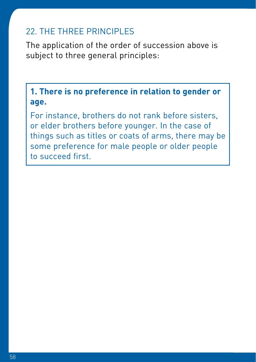### 22. THE THREE PRINCIPLES

The application of the order of succession above is subject to three general principles:

**1. There is no preference in relation to gender or age.**

For instance, brothers do not rank before sisters, or elder brothers before younger. In the case of things such as titles or coats of arms, there may be some preference for male people or older people to succeed first.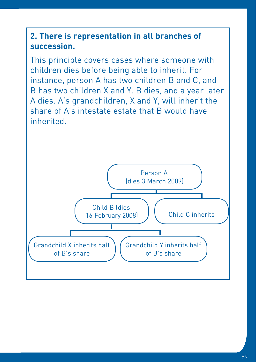### **2. There is representation in all branches of succession.**

This principle covers cases where someone with children dies before being able to inherit. For instance, person A has two children B and C, and B has two children X and Y. B dies, and a year later A dies. A's grandchildren, X and Y, will inherit the share of A's intestate estate that B would have inherited.

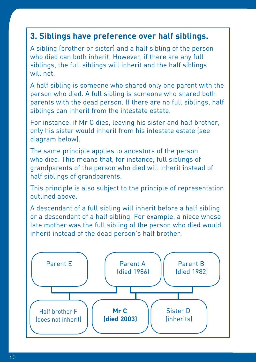### **3. Siblings have preference over half siblings.**

A sibling (brother or sister) and a half sibling of the person who died can both inherit. However, if there are any full siblings, the full siblings will inherit and the half siblings will not.

A half sibling is someone who shared only one parent with the person who died. A full sibling is someone who shared both parents with the dead person. If there are no full siblings, half siblings can inherit from the intestate estate.

For instance, if Mr C dies, leaving his sister and half brother, only his sister would inherit from his intestate estate (see diagram below).

The same principle applies to ancestors of the person who died. This means that, for instance, full siblings of grandparents of the person who died will inherit instead of half siblings of grandparents.

This principle is also subject to the principle of representation outlined above.

A descendant of a full sibling will inherit before a half sibling or a descendant of a half sibling. For example, a niece whose late mother was the full sibling of the person who died would inherit instead of the dead person's half brother.

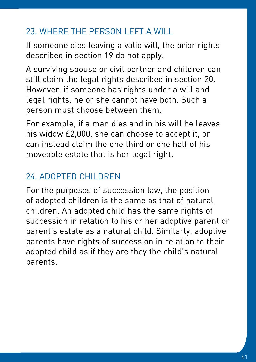# 23. WHERE THE PERSON LEFT A WILL

If someone dies leaving a valid will, the prior rights described in section 19 do not apply.

A surviving spouse or civil partner and children can still claim the legal rights described in section 20. However, if someone has rights under a will and legal rights, he or she cannot have both. Such a person must choose between them.

For example, if a man dies and in his will he leaves his widow £2,000, she can choose to accept it, or can instead claim the one third or one half of his moveable estate that is her legal right.

# 24. ADOPTED CHILDREN

For the purposes of succession law, the position of adopted children is the same as that of natural children. An adopted child has the same rights of succession in relation to his or her adoptive parent or parent's estate as a natural child. Similarly, adoptive parents have rights of succession in relation to their adopted child as if they are they the child's natural parents.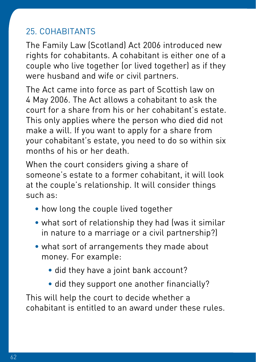## 25. COHABITANTS

The Family Law (Scotland) Act 2006 introduced new rights for cohabitants. A cohabitant is either one of a couple who live together (or lived together) as if they were husband and wife or civil partners.

The Act came into force as part of Scottish law on 4 May 2006. The Act allows a cohabitant to ask the court for a share from his or her cohabitant's estate. This only applies where the person who died did not make a will. If you want to apply for a share from your cohabitant's estate, you need to do so within six months of his or her death.

When the court considers giving a share of someone's estate to a former cohabitant, it will look at the couple's relationship. It will consider things such as:

- how long the couple lived together
- what sort of relationship they had (was it similar in nature to a marriage or a civil partnership?)
- what sort of arrangements they made about money. For example:
	- did they have a joint bank account?
	- did they support one another financially?

This will help the court to decide whether a cohabitant is entitled to an award under these rules.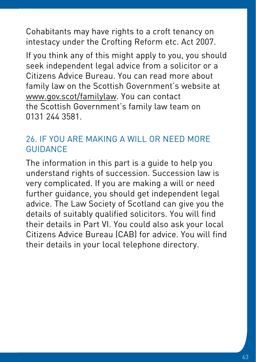Cohabitants may have rights to a croft tenancy on intestacy under the Crofting Reform etc. Act 2007.

If you think any of this might apply to you, you should seek independent legal advice from a solicitor or a Citizens Advice Bureau. You can read more about family law on the Scottish Government's website at [www.gov.scot/familylaw.](http://www.gov.scot/familylaw) You can contact the Scottish Government's family law team on 0131 244 3581.

### 26. IF YOU ARE MAKING A WILL OR NEED MORE **GUIDANCE**

The information in this part is a guide to help you understand rights of succession. Succession law is very complicated. If you are making a will or need further guidance, you should get independent legal advice. The Law Society of Scotland can give you the details of suitably qualified solicitors. You will find their details in Part VI. You could also ask your local Citizens Advice Bureau (CAB) for advice. You will find their details in your local telephone directory.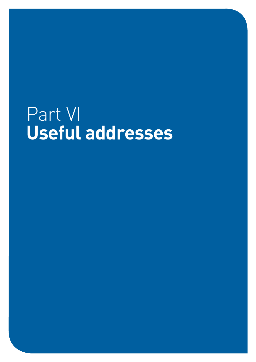# Part VI **Useful addresses**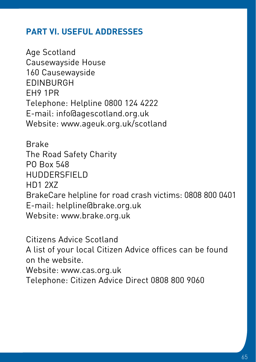### **PART VI. USEFUL ADDRESSES**

Age Scotland Causewayside House 160 Causewayside EDINBURGH EH9 1PR Telephone: Helpline 0800 124 4222 E-mail: info@agescotland.org.uk Website: www.ageuk.org.uk/scotland

Brake The Road Safety Charity PO Box 548 HUDDERSFIELD HD1 2XZ BrakeCare helpline for road crash victims: 0808 800 0401 E-mail: helpline@brake.org.uk Website: www.brake.org.uk

Citizens Advice Scotland A list of your local Citizen Advice offices can be found on the website. Website: www.cas.org.uk

Telephone: Citizen Advice Direct 0808 800 9060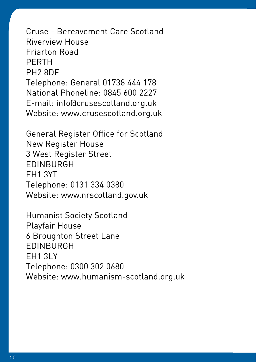Cruse - Bereavement Care Scotland Riverview House Friarton Road PERTH PH2 8DF Telephone: General 01738 444 178 National Phoneline: 0845 600 2227 E-mail: info@crusescotland.org.uk Website: www.crusescotland.org.uk

General Register Office for Scotland New Register House 3 West Register Street EDINBURGH EH1 3YT Telephone: 0131 334 0380 Website: [www.nrscotland.gov.uk](http://www.nrscotland.gov.uk)

Humanist Society Scotland Playfair House 6 Broughton Street Lane EDINBURGH EH1 3LY Telephone: 0300 302 0680 Website: www.humanism-scotland.org.uk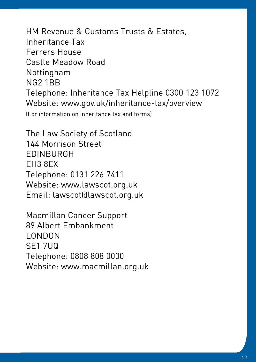HM Revenue & Customs Trusts & Estates, Inheritance Tax Ferrers House Castle Meadow Road Nottingham NG2 1BB Telephone: Inheritance Tax Helpline 0300 123 1072 Website: [www.gov.uk/inheritance-tax/overview](http://www.gov.uk/inheritance-tax/overview) (For information on inheritance tax and forms)

The Law Society of Scotland 144 Morrison Street EDINBURGH EH3 8EX Telephone: 0131 226 7411 Website: www.lawscot.org.uk Email: lawscot@lawscot.org.uk

Macmillan Cancer Support 89 Albert Embankment LONDON SE1 7UQ Telephone: 0808 808 0000 Website: www.macmillan.org.uk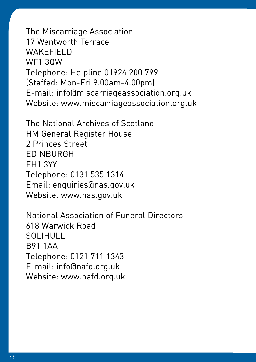The Miscarriage Association 17 Wentworth Terrace WAKFFIFI<sub>D</sub> WF1 3QW Telephone: Helpline 01924 200 799 (Staffed: Mon-Fri 9.00am-4.00pm) E-mail: info@miscarriageassociation.org.uk Website: www.miscarriageassociation.org.uk

The National Archives of Scotland HM General Register House 2 Princes Street EDINBURGH EH1 3YY Telephone: 0131 535 1314 Email: enquiries@nas.gov.uk Website: www.nas.gov.uk

National Association of Funeral Directors 618 Warwick Road SOLIHULL B91 1AA Telephone: 0121 711 1343 E-mail: info@nafd.org.uk Website: www.nafd.org.uk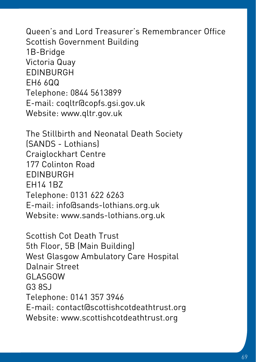Queen's and Lord Treasurer's Remembrancer Office Scottish Government Building 1B-Bridge Victoria Quay EDINBURGH EH6 6QQ Telephone: 0844 5613899 E-mail: coqltr@copfs.gsi.gov.uk Website: www.qltr.gov.uk

The Stillbirth and Neonatal Death Society (SANDS - Lothians) Craiglockhart Centre 177 Colinton Road EDINBURGH EH14 1BZ Telephone: 0131 622 6263 E-mail: info@sands-lothians.org.uk Website: www.sands-lothians.org.uk

Scottish Cot Death Trust 5th Floor, 5B (Main Building) West Glasgow Ambulatory Care Hospital Dalnair Street GLASGOW G3 8SJ Telephone: 0141 357 3946 E-mail: contact@scottishcotdeathtrust.org Website: www.scottishcotdeathtrust.org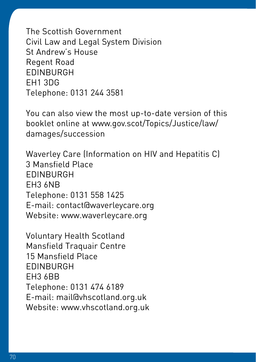The Scottish Government Civil Law and Legal System Division St Andrew's House Regent Road EDINBURGH EH1 3DG Telephone: 0131 244 3581

You can also view the most up-to-date version of this booklet online at www.gov.scot/Topics/Justice/law/ damages/succession

Waverley Care (Information on HIV and Hepatitis C) 3 Mansfield Place EDINBURGH EH3 6NB Telephone: 0131 558 1425 E-mail: contact@waverleycare.org Website: www.waverleycare.org

Voluntary Health Scotland Mansfield Traquair Centre 15 Mansfield Place EDINBURGH EH3 6BB Telephone: 0131 474 6189 E-mail: mail@vhscotland.org.uk Website: www.vhscotland.org.uk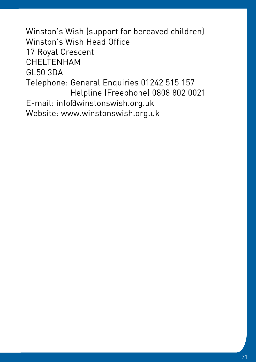Winston's Wish (support for bereaved children) Winston's Wish Head Office 17 Royal Crescent CHELTENHAM GL50 3DA Telephone: General Enquiries 01242 515 157 Helpline (Freephone) 0808 802 0021 E-mail: info@winstonswish.org.uk Website: www.winstonswish.org.uk